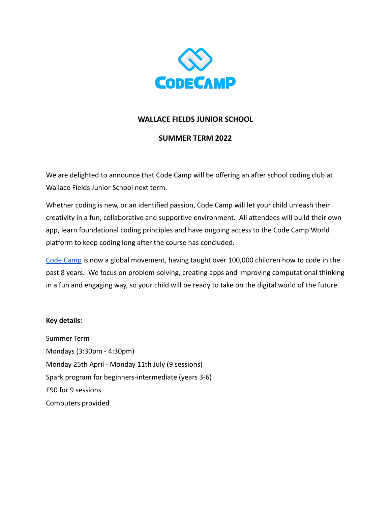

# **WALLACE FIELDS JUNIOR SCHOOL**

## **SUMMER TERM 2022**

We are delighted to announce that Code Camp will be offering an after school coding club at Wallace Fields Junior School next term.

Whether coding is new, or an identified passion, Code Camp will let your child unleash their creativity in a fun, collaborative and supportive environment. All attendees will build their own app, learn foundational coding principles and have ongoing access to the Code Camp World platform to keep coding long after the course has concluded.

[Code Camp](http://www.codecamp.co.uk) is now a global movement, having taught over 100,000 children how to code in the past 8 years. We focus on problem-solving, creating apps and improving computational thinking in a fun and engaging way, so your child will be ready to take on the digital world of the future.

### **Key details:**

Summer Term Mondays (3:30pm - 4:30pm) Monday 25th April - Monday 11th July (9 sessions) Spark program for beginners-intermediate (years 3-6) £90 for 9 sessions Computers provided